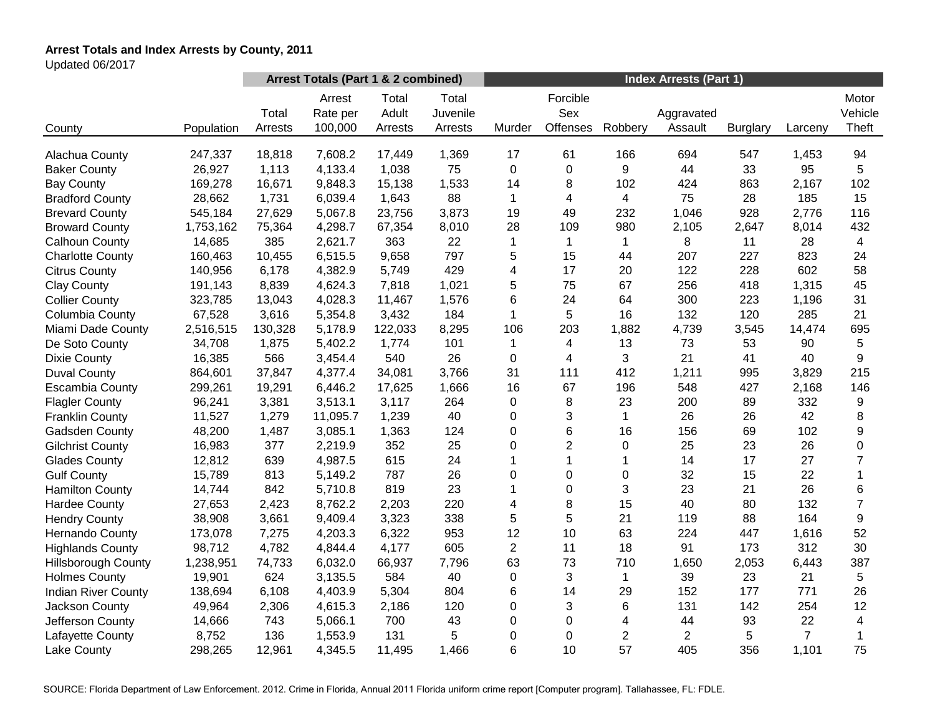# **Arrest Totals and Index Arrests by County, 2011**

Updated 06/2017

|                            |            | Arrest Totals (Part 1 & 2 combined) |                               |                           |                              | <b>Index Arrests (Part 1)</b> |                             |                |                       |                 |                |                           |
|----------------------------|------------|-------------------------------------|-------------------------------|---------------------------|------------------------------|-------------------------------|-----------------------------|----------------|-----------------------|-----------------|----------------|---------------------------|
| County                     | Population | Total<br>Arrests                    | Arrest<br>Rate per<br>100,000 | Total<br>Adult<br>Arrests | Total<br>Juvenile<br>Arrests | Murder                        | Forcible<br>Sex<br>Offenses | Robbery        | Aggravated<br>Assault | <b>Burglary</b> | Larceny        | Motor<br>Vehicle<br>Theft |
|                            |            |                                     |                               |                           |                              |                               |                             |                |                       |                 |                |                           |
| Alachua County             | 247,337    | 18,818                              | 7,608.2                       | 17,449                    | 1,369                        | 17                            | 61<br>$\mathbf 0$           | 166<br>9       | 694<br>44             | 547             | 1,453          | 94<br>5                   |
| <b>Baker County</b>        | 26,927     | 1,113                               | 4,133.4                       | 1,038                     | 75                           | $\mathbf 0$<br>14             |                             |                |                       | 33              | 95             |                           |
| <b>Bay County</b>          | 169,278    | 16,671                              | 9,848.3                       | 15,138                    | 1,533                        |                               | 8                           | 102            | 424                   | 863             | 2,167          | 102                       |
| <b>Bradford County</b>     | 28,662     | 1,731                               | 6,039.4                       | 1,643                     | 88                           | 1                             | 4                           | 4              | 75                    | 28              | 185            | 15                        |
| <b>Brevard County</b>      | 545,184    | 27,629                              | 5,067.8                       | 23,756                    | 3,873                        | 19                            | 49                          | 232            | 1,046                 | 928             | 2,776          | 116                       |
| <b>Broward County</b>      | 1,753,162  | 75,364                              | 4,298.7                       | 67,354                    | 8,010                        | 28                            | 109                         | 980            | 2,105                 | 2,647           | 8,014          | 432                       |
| Calhoun County             | 14,685     | 385                                 | 2,621.7                       | 363                       | 22                           | 1                             | $\mathbf{1}$                | $\mathbf 1$    | 8                     | 11              | 28             | $\overline{4}$            |
| <b>Charlotte County</b>    | 160,463    | 10,455                              | 6,515.5                       | 9,658                     | 797                          | 5                             | 15                          | 44             | 207                   | 227             | 823            | 24                        |
| <b>Citrus County</b>       | 140,956    | 6,178                               | 4,382.9                       | 5,749                     | 429                          | 4                             | 17                          | 20             | 122                   | 228             | 602            | 58                        |
| <b>Clay County</b>         | 191,143    | 8,839                               | 4,624.3                       | 7,818                     | 1,021                        | 5                             | 75                          | 67             | 256                   | 418             | 1,315          | 45                        |
| <b>Collier County</b>      | 323,785    | 13,043                              | 4,028.3                       | 11,467                    | 1,576                        | 6                             | 24                          | 64             | 300                   | 223             | 1,196          | 31                        |
| Columbia County            | 67,528     | 3,616                               | 5,354.8                       | 3,432                     | 184                          | 1                             | 5                           | 16             | 132                   | 120             | 285            | 21                        |
| Miami Dade County          | 2,516,515  | 130,328                             | 5,178.9                       | 122,033                   | 8,295                        | 106                           | 203                         | 1,882          | 4,739                 | 3,545           | 14,474         | 695                       |
| De Soto County             | 34,708     | 1,875                               | 5,402.2                       | 1,774                     | 101                          | 1                             | 4                           | 13             | 73                    | 53              | 90             | 5                         |
| <b>Dixie County</b>        | 16,385     | 566                                 | 3,454.4                       | 540                       | 26                           | 0                             | 4                           | 3              | 21                    | 41              | 40             | 9                         |
| <b>Duval County</b>        | 864,601    | 37,847                              | 4,377.4                       | 34,081                    | 3,766                        | 31                            | 111                         | 412            | 1,211                 | 995             | 3,829          | 215                       |
| <b>Escambia County</b>     | 299,261    | 19,291                              | 6,446.2                       | 17,625                    | 1,666                        | 16                            | 67                          | 196            | 548                   | 427             | 2,168          | 146                       |
| <b>Flagler County</b>      | 96,241     | 3,381                               | 3,513.1                       | 3,117                     | 264                          | 0                             | 8                           | 23             | 200                   | 89              | 332            | 9                         |
| <b>Franklin County</b>     | 11,527     | 1,279                               | 11,095.7                      | 1,239                     | 40                           | 0                             | 3                           | 1              | 26                    | 26              | 42             | 8                         |
| Gadsden County             | 48,200     | 1,487                               | 3,085.1                       | 1,363                     | 124                          | 0                             | 6                           | 16             | 156                   | 69              | 102            | 9                         |
| <b>Gilchrist County</b>    | 16,983     | 377                                 | 2,219.9                       | 352                       | 25                           | 0                             | $\overline{2}$              | 0              | 25                    | 23              | 26             | $\pmb{0}$                 |
| <b>Glades County</b>       | 12,812     | 639                                 | 4,987.5                       | 615                       | 24                           |                               | 1                           | 1              | 14                    | 17              | 27             | $\overline{7}$            |
| <b>Gulf County</b>         | 15,789     | 813                                 | 5,149.2                       | 787                       | 26                           | 0                             | 0                           | 0              | 32                    | 15              | 22             | 1                         |
| <b>Hamilton County</b>     | 14,744     | 842                                 | 5,710.8                       | 819                       | 23                           | 1                             | 0                           | 3              | 23                    | 21              | 26             | 6                         |
| <b>Hardee County</b>       | 27,653     | 2,423                               | 8,762.2                       | 2,203                     | 220                          | 4                             | 8                           | 15             | 40                    | 80              | 132            | $\overline{7}$            |
| <b>Hendry County</b>       | 38,908     | 3,661                               | 9,409.4                       | 3,323                     | 338                          | 5                             | 5                           | 21             | 119                   | 88              | 164            | 9                         |
| Hernando County            | 173,078    | 7,275                               | 4,203.3                       | 6,322                     | 953                          | 12                            | 10                          | 63             | 224                   | 447             | 1,616          | 52                        |
| <b>Highlands County</b>    | 98,712     | 4,782                               | 4,844.4                       | 4,177                     | 605                          | $\overline{2}$                | 11                          | 18             | 91                    | 173             | 312            | 30                        |
| <b>Hillsborough County</b> | 1,238,951  | 74,733                              | 6,032.0                       | 66,937                    | 7,796                        | 63                            | 73                          | 710            | 1,650                 | 2,053           | 6,443          | 387                       |
| <b>Holmes County</b>       | 19,901     | 624                                 | 3,135.5                       | 584                       | 40                           | 0                             | 3                           | 1              | 39                    | 23              | 21             | 5                         |
| <b>Indian River County</b> | 138,694    | 6,108                               | 4,403.9                       | 5,304                     | 804                          | 6                             | 14                          | 29             | 152                   | 177             | 771            | 26                        |
| Jackson County             | 49,964     | 2,306                               | 4,615.3                       | 2,186                     | 120                          | 0                             | 3                           | 6              | 131                   | 142             | 254            | 12                        |
| Jefferson County           | 14,666     | 743                                 | 5,066.1                       | 700                       | 43                           | 0                             | 0                           | 4              | 44                    | 93              | 22             | $\overline{4}$            |
| Lafayette County           | 8,752      | 136                                 | 1,553.9                       | 131                       | 5                            | 0                             | 0                           | $\overline{c}$ | $\overline{2}$        | 5               | $\overline{7}$ | $\mathbf 1$               |
| Lake County                | 298,265    | 12,961                              | 4,345.5                       | 11,495                    | 1,466                        | 6                             | 10                          | 57             | 405                   | 356             | 1,101          | 75                        |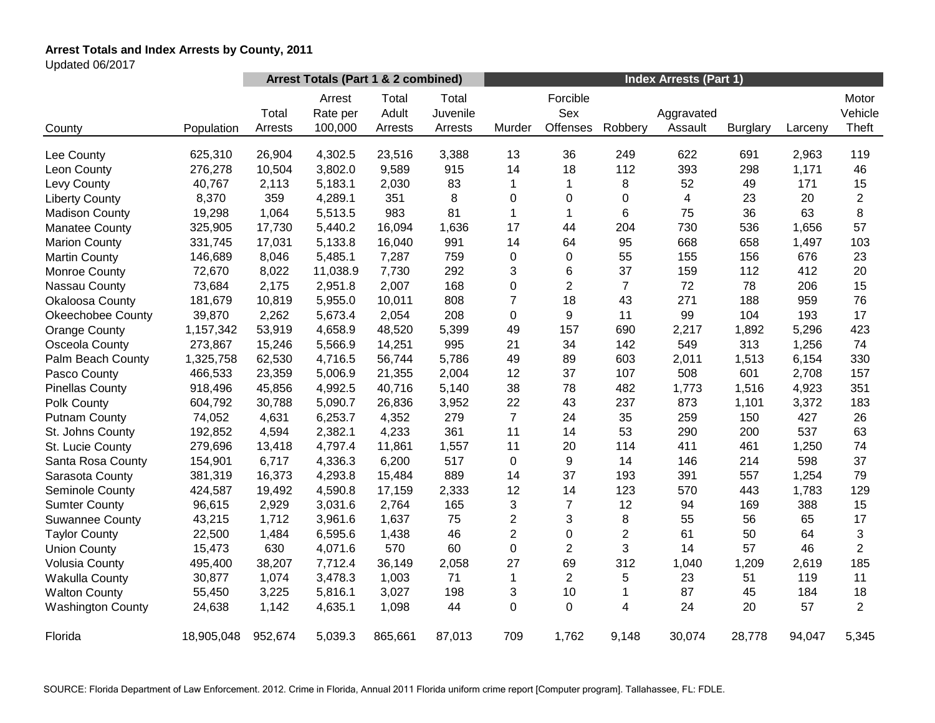# **Arrest Totals and Index Arrests by County, 2011**

Updated 06/2017

|                          |            | Arrest Totals (Part 1 & 2 combined) |                               |                           |                              | <b>Index Arrests (Part 1)</b> |                             |                |                         |                 |         |                           |
|--------------------------|------------|-------------------------------------|-------------------------------|---------------------------|------------------------------|-------------------------------|-----------------------------|----------------|-------------------------|-----------------|---------|---------------------------|
| County                   | Population | Total<br>Arrests                    | Arrest<br>Rate per<br>100,000 | Total<br>Adult<br>Arrests | Total<br>Juvenile<br>Arrests | Murder                        | Forcible<br>Sex<br>Offenses | Robbery        | Aggravated<br>Assault   | <b>Burglary</b> | Larceny | Motor<br>Vehicle<br>Theft |
| Lee County               | 625,310    | 26,904                              | 4,302.5                       | 23,516                    | 3,388                        | 13                            | 36                          | 249            | 622                     | 691             | 2,963   | 119                       |
| Leon County              | 276,278    | 10,504                              | 3,802.0                       | 9,589                     | 915                          | 14                            | 18                          | 112            | 393                     | 298             | 1,171   | 46                        |
| Levy County              | 40,767     | 2,113                               | 5,183.1                       | 2,030                     | 83                           | 1                             | 1                           | 8              | 52                      | 49              | 171     | 15                        |
| <b>Liberty County</b>    | 8,370      | 359                                 | 4,289.1                       | 351                       | 8                            | 0                             | 0                           | 0              | $\overline{\mathbf{4}}$ | 23              | 20      | $\overline{2}$            |
| <b>Madison County</b>    | 19,298     | 1,064                               | 5,513.5                       | 983                       | 81                           | 1                             | $\mathbf{1}$                | 6              | 75                      | 36              | 63      | 8                         |
| <b>Manatee County</b>    | 325,905    | 17,730                              | 5,440.2                       | 16,094                    | 1,636                        | 17                            | 44                          | 204            | 730                     | 536             | 1,656   | 57                        |
| <b>Marion County</b>     | 331,745    | 17,031                              | 5,133.8                       | 16,040                    | 991                          | 14                            | 64                          | 95             | 668                     | 658             | 1,497   | 103                       |
| <b>Martin County</b>     | 146,689    | 8,046                               | 5,485.1                       | 7,287                     | 759                          | 0                             | 0                           | 55             | 155                     | 156             | 676     | 23                        |
| Monroe County            | 72,670     | 8,022                               | 11,038.9                      | 7,730                     | 292                          | 3                             | 6                           | 37             | 159                     | 112             | 412     | 20                        |
| Nassau County            | 73,684     | 2,175                               | 2,951.8                       | 2,007                     | 168                          | 0                             | $\overline{2}$              | $\overline{7}$ | 72                      | 78              | 206     | 15                        |
| Okaloosa County          | 181,679    | 10,819                              | 5,955.0                       | 10,011                    | 808                          | $\overline{7}$                | 18                          | 43             | 271                     | 188             | 959     | 76                        |
| <b>Okeechobee County</b> | 39,870     | 2,262                               | 5,673.4                       | 2,054                     | 208                          | 0                             | 9                           | 11             | 99                      | 104             | 193     | 17                        |
| <b>Orange County</b>     | 1,157,342  | 53,919                              | 4,658.9                       | 48,520                    | 5,399                        | 49                            | 157                         | 690            | 2,217                   | 1,892           | 5,296   | 423                       |
| Osceola County           | 273,867    | 15,246                              | 5,566.9                       | 14,251                    | 995                          | 21                            | 34                          | 142            | 549                     | 313             | 1,256   | 74                        |
| Palm Beach County        | 1,325,758  | 62,530                              | 4,716.5                       | 56,744                    | 5,786                        | 49                            | 89                          | 603            | 2,011                   | 1,513           | 6,154   | 330                       |
| Pasco County             | 466,533    | 23,359                              | 5,006.9                       | 21,355                    | 2,004                        | 12                            | 37                          | 107            | 508                     | 601             | 2,708   | 157                       |
| <b>Pinellas County</b>   | 918,496    | 45,856                              | 4,992.5                       | 40,716                    | 5,140                        | 38                            | 78                          | 482            | 1,773                   | 1,516           | 4,923   | 351                       |
| Polk County              | 604,792    | 30,788                              | 5,090.7                       | 26,836                    | 3,952                        | 22                            | 43                          | 237            | 873                     | 1,101           | 3,372   | 183                       |
| <b>Putnam County</b>     | 74,052     | 4,631                               | 6,253.7                       | 4,352                     | 279                          | $\overline{7}$                | 24                          | 35             | 259                     | 150             | 427     | 26                        |
| St. Johns County         | 192,852    | 4,594                               | 2,382.1                       | 4,233                     | 361                          | 11                            | 14                          | 53             | 290                     | 200             | 537     | 63                        |
| St. Lucie County         | 279,696    | 13,418                              | 4,797.4                       | 11,861                    | 1,557                        | 11                            | 20                          | 114            | 411                     | 461             | 1,250   | 74                        |
| Santa Rosa County        | 154,901    | 6,717                               | 4,336.3                       | 6,200                     | 517                          | $\pmb{0}$                     | 9                           | 14             | 146                     | 214             | 598     | 37                        |
| Sarasota County          | 381,319    | 16,373                              | 4,293.8                       | 15,484                    | 889                          | 14                            | 37                          | 193            | 391                     | 557             | 1,254   | 79                        |
| Seminole County          | 424,587    | 19,492                              | 4,590.8                       | 17,159                    | 2,333                        | 12                            | 14                          | 123            | 570                     | 443             | 1,783   | 129                       |
| <b>Sumter County</b>     | 96,615     | 2,929                               | 3,031.6                       | 2,764                     | 165                          | 3                             | $\overline{7}$              | 12             | 94                      | 169             | 388     | 15                        |
| <b>Suwannee County</b>   | 43,215     | 1,712                               | 3,961.6                       | 1,637                     | 75                           | $\overline{c}$                | 3                           | 8              | 55                      | 56              | 65      | 17                        |
| <b>Taylor County</b>     | 22,500     | 1,484                               | 6,595.6                       | 1,438                     | 46                           | $\overline{c}$                | $\boldsymbol{0}$            | $\overline{c}$ | 61                      | 50              | 64      | 3                         |
| <b>Union County</b>      | 15,473     | 630                                 | 4,071.6                       | 570                       | 60                           | 0                             | $\overline{2}$              | 3              | 14                      | 57              | 46      | $\overline{2}$            |
| <b>Volusia County</b>    | 495,400    | 38,207                              | 7,712.4                       | 36,149                    | 2,058                        | 27                            | 69                          | 312            | 1,040                   | 1,209           | 2,619   | 185                       |
| <b>Wakulla County</b>    | 30,877     | 1,074                               | 3,478.3                       | 1,003                     | 71                           | 1                             | $\overline{2}$              | 5              | 23                      | 51              | 119     | 11                        |
| <b>Walton County</b>     | 55,450     | 3,225                               | 5,816.1                       | 3,027                     | 198                          | 3                             | 10                          | 1              | 87                      | 45              | 184     | 18                        |
| <b>Washington County</b> | 24,638     | 1,142                               | 4,635.1                       | 1,098                     | 44                           | 0                             | 0                           | 4              | 24                      | 20              | 57      | $\overline{2}$            |
| Florida                  | 18,905,048 | 952,674                             | 5,039.3                       | 865,661                   | 87,013                       | 709                           | 1,762                       | 9,148          | 30,074                  | 28,778          | 94,047  | 5,345                     |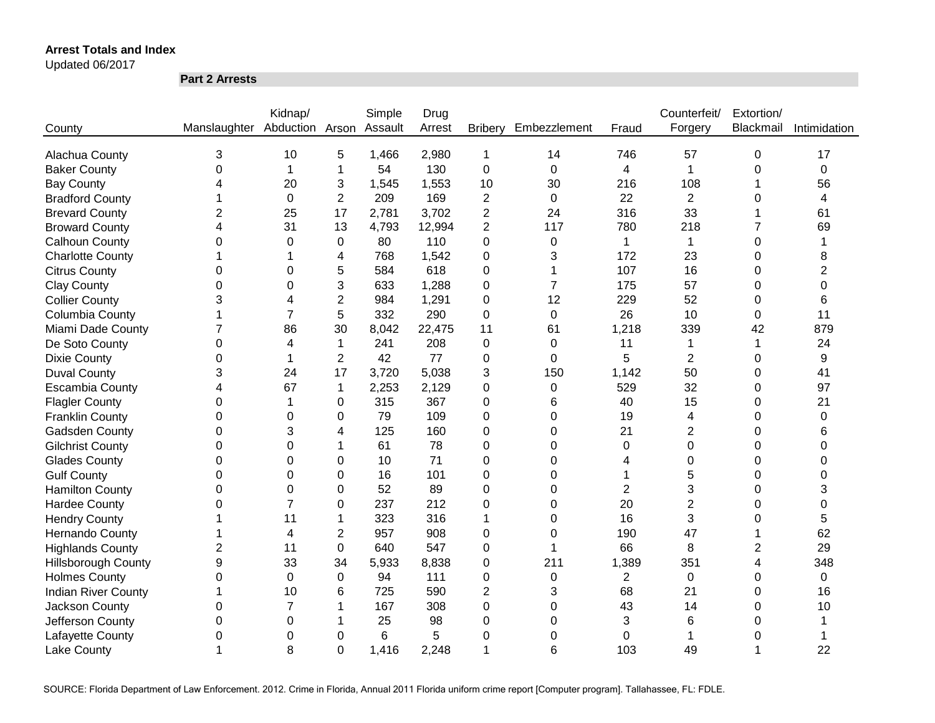Updated 06/2017

**Part 2 Arrests**

|                            |                              | Kidnap/        |                | Simple  | Drug   |                         |                |                | Counterfeit/   | Extortion/ |                |
|----------------------------|------------------------------|----------------|----------------|---------|--------|-------------------------|----------------|----------------|----------------|------------|----------------|
| County                     | Manslaughter Abduction Arson |                |                | Assault | Arrest | <b>Bribery</b>          | Embezzlement   | Fraud          | Forgery        | Blackmail  | Intimidation   |
|                            |                              |                |                |         |        |                         |                |                |                |            |                |
| Alachua County             | 3                            | 10             | 5              | 1,466   | 2,980  | 1                       | 14             | 746            | 57             | 0          | 17             |
| <b>Baker County</b>        | $\mathbf 0$                  | 1              | 1              | 54      | 130    | 0                       | $\mathbf 0$    | $\overline{4}$ | $\mathbf{1}$   | 0          | 0              |
| <b>Bay County</b>          | 4                            | 20             | 3              | 1,545   | 1,553  | 10                      | 30             | 216            | 108            |            | 56             |
| <b>Bradford County</b>     | 1                            | 0              | $\overline{2}$ | 209     | 169    | $\overline{2}$          | $\mathbf 0$    | 22             | $\overline{2}$ | 0          | $\overline{4}$ |
| <b>Brevard County</b>      | $\overline{2}$               | 25             | 17             | 2,781   | 3,702  | 2                       | 24             | 316            | 33             |            | 61             |
| <b>Broward County</b>      | 4                            | 31             | 13             | 4,793   | 12,994 | $\overline{\mathbf{c}}$ | 117            | 780            | 218            |            | 69             |
| <b>Calhoun County</b>      | 0                            | $\Omega$       | 0              | 80      | 110    | 0                       | $\mathbf 0$    | 1              | $\mathbf{1}$   | 0          | 1              |
| <b>Charlotte County</b>    | 1                            |                | 4              | 768     | 1,542  | 0                       | 3              | 172            | 23             | 0          | 8              |
| <b>Citrus County</b>       | 0                            | 0              | 5              | 584     | 618    | 0                       | 1              | 107            | 16             | 0          | 2              |
| <b>Clay County</b>         | 0                            | 0              | 3              | 633     | 1,288  | 0                       | $\overline{7}$ | 175            | 57             | 0          | 0              |
| <b>Collier County</b>      | 3                            | 4              | $\overline{2}$ | 984     | 1,291  | 0                       | 12             | 229            | 52             | 0          | 6              |
| Columbia County            |                              | $\overline{7}$ | 5              | 332     | 290    | 0                       | $\mathbf 0$    | 26             | 10             | $\Omega$   | 11             |
| Miami Dade County          | $\overline{7}$               | 86             | 30             | 8,042   | 22,475 | 11                      | 61             | 1,218          | 339            | 42         | 879            |
| De Soto County             | 0                            | 4              | $\mathbf{1}$   | 241     | 208    | 0                       | 0              | 11             | $\mathbf 1$    | 1          | 24             |
| <b>Dixie County</b>        | $\Omega$                     |                | $\overline{2}$ | 42      | 77     | 0                       | $\Omega$       | 5              | $\overline{2}$ | $\Omega$   | 9              |
| <b>Duval County</b>        | 3                            | 24             | 17             | 3,720   | 5,038  | 3                       | 150            | 1,142          | 50             | 0          | 41             |
| <b>Escambia County</b>     | 4                            | 67             | 1              | 2,253   | 2,129  | 0                       | 0              | 529            | 32             | $\Omega$   | 97             |
| <b>Flagler County</b>      | 0                            |                | 0              | 315     | 367    | 0                       | 6              | 40             | 15             | 0          | 21             |
| <b>Franklin County</b>     | 0                            | $\Omega$       | 0              | 79      | 109    | 0                       | $\Omega$       | 19             | 4              | 0          | 0              |
| <b>Gadsden County</b>      | 0                            | 3              | 4              | 125     | 160    | 0                       | $\Omega$       | 21             | $\overline{c}$ | $\Omega$   | 6              |
| <b>Gilchrist County</b>    | 0                            | $\Omega$       | 1              | 61      | 78     | 0                       | $\Omega$       | $\Omega$       | $\mathbf 0$    | 0          | $\Omega$       |
| <b>Glades County</b>       | 0                            | $\Omega$       | 0              | 10      | 71     | 0                       | $\Omega$       | 4              | $\Omega$       | 0          | $\Omega$       |
| <b>Gulf County</b>         | 0                            | 0              | 0              | 16      | 101    | 0                       | $\Omega$       |                | 5              | 0          | $\Omega$       |
| <b>Hamilton County</b>     | 0                            | 0              | 0              | 52      | 89     | 0                       | $\Omega$       | 2              | 3              | 0          | 3              |
| <b>Hardee County</b>       | $\Omega$                     | 7              | 0              | 237     | 212    | 0                       | $\Omega$       | 20             | $\overline{2}$ | $\Omega$   | 0              |
| <b>Hendry County</b>       |                              | 11             | 1              | 323     | 316    | 1                       | 0              | 16             | 3              | 0          | 5              |
| <b>Hernando County</b>     |                              | 4              | $\overline{2}$ | 957     | 908    | 0                       | 0              | 190            | 47             |            | 62             |
| <b>Highlands County</b>    | 2                            | 11             | 0              | 640     | 547    | 0                       | -1             | 66             | 8              | 2          | 29             |
| <b>Hillsborough County</b> | 9                            | 33             | 34             | 5,933   | 8,838  | 0                       | 211            | 1,389          | 351            | 4          | 348            |
| <b>Holmes County</b>       | 0                            | 0              | 0              | 94      | 111    | 0                       | $\mathbf 0$    | $\overline{2}$ | $\mathbf 0$    | 0          | 0              |
| <b>Indian River County</b> |                              | 10             | 6              | 725     | 590    | $\overline{2}$          | 3              | 68             | 21             | 0          | 16             |
| Jackson County             | 0                            | $\overline{7}$ |                | 167     | 308    | 0                       | 0              | 43             | 14             | 0          | 10             |
| Jefferson County           | 0                            | 0              |                | 25      | 98     | 0                       | 0              | 3              | 6              | 0          |                |
| Lafayette County           | 0                            | 0              | 0              | 6       | 5      | 0                       | 0              | 0              | 1              | 0          |                |
| <b>Lake County</b>         | 1                            | 8              | 0              | 1,416   | 2,248  | 1                       | 6              | 103            | 49             |            | 22             |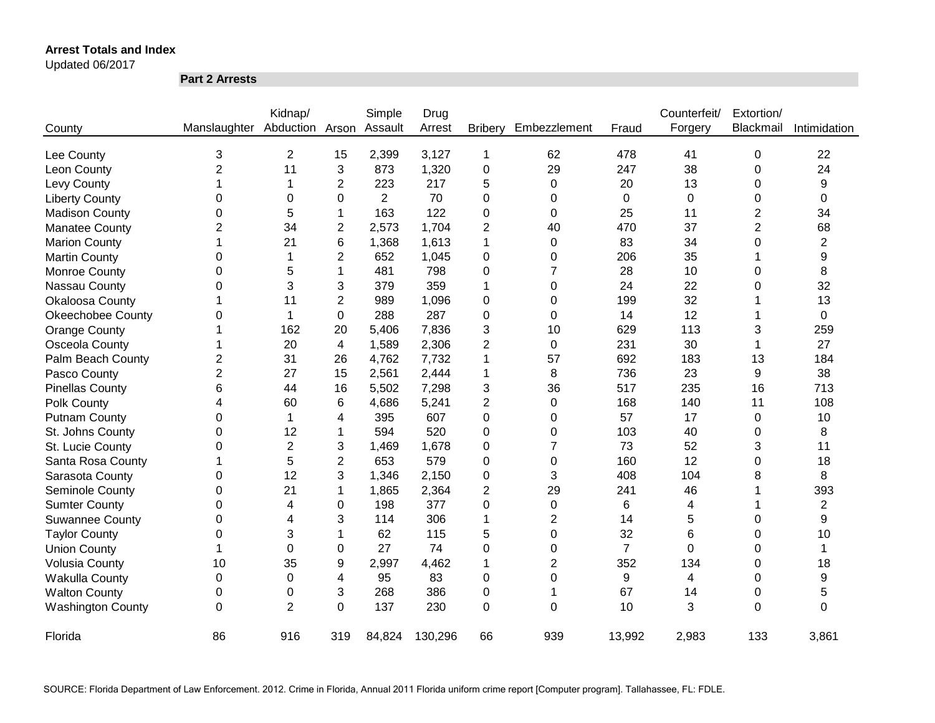#### Updated 06/2017

**Part 2 Arrests**

|                          |                | Kidnap/        |                | Simple         | Drug    |                |                |                | Counterfeit/ | Extortion/     |                |
|--------------------------|----------------|----------------|----------------|----------------|---------|----------------|----------------|----------------|--------------|----------------|----------------|
| County                   | Manslaughter   | Abduction      | Arson          | Assault        | Arrest  | <b>Bribery</b> | Embezzlement   | Fraud          | Forgery      | Blackmail      | Intimidation   |
| Lee County               | 3              | $\overline{c}$ | 15             | 2,399          | 3,127   | 1              | 62             | 478            | 41           | 0              | 22             |
| Leon County              | $\overline{2}$ | 11             | 3              | 873            | 1,320   | 0              | 29             | 247            | 38           | 0              | 24             |
| Levy County              | 1              | 1              | 2              | 223            | 217     | 5              | $\Omega$       | 20             | 13           | 0              | 9              |
| <b>Liberty County</b>    | 0              | 0              | 0              | $\overline{2}$ | 70      | 0              | 0              | 0              | 0            | 0              | 0              |
| <b>Madison County</b>    | 0              | 5              | 1              | 163            | 122     | 0              | 0              | 25             | 11           | 2              | 34             |
| <b>Manatee County</b>    | 2              | 34             | 2              | 2,573          | 1,704   | 2              | 40             | 470            | 37           | $\overline{2}$ | 68             |
| <b>Marion County</b>     | 1              | 21             | 6              | 1,368          | 1,613   | 1              | $\Omega$       | 83             | 34           | 0              | $\overline{2}$ |
| <b>Martin County</b>     | 0              | 1              | 2              | 652            | 1,045   | 0              | 0              | 206            | 35           |                | 9              |
| Monroe County            | 0              | 5              | 1              | 481            | 798     | 0              | $\overline{7}$ | 28             | 10           | 0              | 8              |
| Nassau County            | 0              | 3              | 3              | 379            | 359     | 1              | 0              | 24             | 22           | 0              | 32             |
| <b>Okaloosa County</b>   |                | 11             | $\overline{2}$ | 989            | 1,096   | 0              | $\Omega$       | 199            | 32           |                | 13             |
| <b>Okeechobee County</b> | 0              | 1              | $\Omega$       | 288            | 287     | 0              | $\Omega$       | 14             | 12           |                | $\Omega$       |
| <b>Orange County</b>     |                | 162            | 20             | 5,406          | 7,836   | 3              | 10             | 629            | 113          | 3              | 259            |
| Osceola County           |                | 20             | 4              | 1,589          | 2,306   | 2              | $\Omega$       | 231            | 30           | 1              | 27             |
| Palm Beach County        | 2              | 31             | 26             | 4,762          | 7,732   | 1              | 57             | 692            | 183          | 13             | 184            |
| Pasco County             | $\overline{2}$ | 27             | 15             | 2,561          | 2,444   | 1              | 8              | 736            | 23           | 9              | 38             |
| <b>Pinellas County</b>   | 6              | 44             | 16             | 5,502          | 7,298   | 3              | 36             | 517            | 235          | 16             | 713            |
| Polk County              | 4              | 60             | 6              | 4,686          | 5,241   | $\overline{2}$ | 0              | 168            | 140          | 11             | 108            |
| <b>Putnam County</b>     | 0              | 1              | 4              | 395            | 607     | 0              | 0              | 57             | 17           | 0              | 10             |
| St. Johns County         | 0              | 12             | 1              | 594            | 520     | 0              | $\Omega$       | 103            | 40           | 0              | 8              |
| St. Lucie County         | 0              | $\overline{2}$ | 3              | 1,469          | 1,678   | 0              | $\overline{7}$ | 73             | 52           | 3              | 11             |
| Santa Rosa County        |                | 5              | 2              | 653            | 579     | 0              | 0              | 160            | 12           | 0              | 18             |
| Sarasota County          | 0              | 12             | 3              | 1,346          | 2,150   | 0              | 3              | 408            | 104          | 8              | 8              |
| Seminole County          | 0              | 21             | 1              | 1,865          | 2,364   | 2              | 29             | 241            | 46           |                | 393            |
| <b>Sumter County</b>     | 0              | 4              | 0              | 198            | 377     | 0              | 0              | 6              | 4            |                | 2              |
| <b>Suwannee County</b>   | 0              | 4              | 3              | 114            | 306     | 1              | $\overline{2}$ | 14             | 5            | 0              | 9              |
| <b>Taylor County</b>     | 0              | 3              | 1              | 62             | 115     | 5              | 0              | 32             | 6            | 0              | 10             |
| <b>Union County</b>      | 1              | 0              | 0              | 27             | 74      | 0              | 0              | $\overline{7}$ | $\Omega$     | 0              | 1              |
| <b>Volusia County</b>    | 10             | 35             | 9              | 2,997          | 4,462   | 1              | 2              | 352            | 134          | 0              | 18             |
| <b>Wakulla County</b>    | 0              | 0              | 4              | 95             | 83      | 0              | 0              | 9              | 4            | 0              | 9              |
| <b>Walton County</b>     | 0              | 0              | 3              | 268            | 386     | 0              | 1              | 67             | 14           | 0              | 5              |
| <b>Washington County</b> | 0              | $\overline{2}$ | 0              | 137            | 230     | 0              | $\Omega$       | 10             | 3            | $\Omega$       | 0              |
| Florida                  | 86             | 916            | 319            | 84,824         | 130,296 | 66             | 939            | 13,992         | 2,983        | 133            | 3,861          |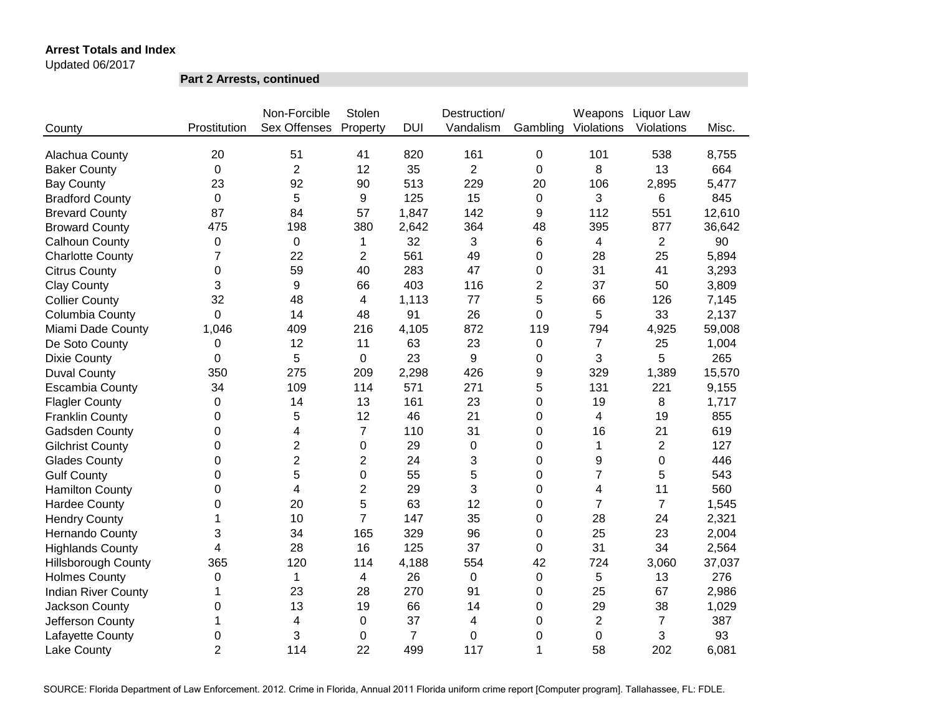Updated 06/2017

**Part 2 Arrests, continued**

|                            |                | Non-Forcible   | Stolen                  |                | Destruction/     |          | Weapons        | Liquor Law     |        |
|----------------------------|----------------|----------------|-------------------------|----------------|------------------|----------|----------------|----------------|--------|
| County                     | Prostitution   | Sex Offenses   | Property                | <b>DUI</b>     | Vandalism        | Gambling | Violations     | Violations     | Misc.  |
| Alachua County             | 20             | 51             | 41                      | 820            | 161              | 0        | 101            | 538            | 8,755  |
| <b>Baker County</b>        | 0              | $\overline{2}$ | 12                      | 35             | $\overline{2}$   | 0        | 8              | 13             | 664    |
| <b>Bay County</b>          | 23             | 92             | 90                      | 513            | 229              | 20       | 106            | 2,895          | 5,477  |
| <b>Bradford County</b>     | 0              | 5              | 9                       | 125            | 15               | 0        | 3              | 6              | 845    |
| <b>Brevard County</b>      | 87             | 84             | 57                      | 1,847          | 142              | 9        | 112            | 551            | 12,610 |
| <b>Broward County</b>      | 475            | 198            | 380                     | 2,642          | 364              | 48       | 395            | 877            | 36,642 |
| Calhoun County             | 0              | 0              | 1                       | 32             | 3                | 6        | 4              | $\overline{2}$ | 90     |
| <b>Charlotte County</b>    | $\overline{7}$ | 22             | $\overline{2}$          | 561            | 49               | 0        | 28             | 25             | 5,894  |
| <b>Citrus County</b>       | $\mathbf 0$    | 59             | 40                      | 283            | 47               | 0        | 31             | 41             | 3,293  |
| <b>Clay County</b>         | 3              | 9              | 66                      | 403            | 116              | 2        | 37             | 50             | 3,809  |
| <b>Collier County</b>      | 32             | 48             | 4                       | 1,113          | 77               | 5        | 66             | 126            | 7,145  |
| Columbia County            | 0              | 14             | 48                      | 91             | 26               | 0        | 5              | 33             | 2,137  |
| Miami Dade County          | 1,046          | 409            | 216                     | 4,105          | 872              | 119      | 794            | 4,925          | 59,008 |
| De Soto County             | 0              | 12             | 11                      | 63             | 23               | 0        | $\overline{7}$ | 25             | 1,004  |
| <b>Dixie County</b>        | 0              | 5              | 0                       | 23             | 9                | 0        | 3              | 5              | 265    |
| <b>Duval County</b>        | 350            | 275            | 209                     | 2,298          | 426              | 9        | 329            | 1,389          | 15,570 |
| <b>Escambia County</b>     | 34             | 109            | 114                     | 571            | 271              | 5        | 131            | 221            | 9,155  |
| <b>Flagler County</b>      | 0              | 14             | 13                      | 161            | 23               | 0        | 19             | 8              | 1,717  |
| <b>Franklin County</b>     | $\Omega$       | 5              | 12                      | 46             | 21               | 0        | 4              | 19             | 855    |
| Gadsden County             | 0              | 4              | $\overline{7}$          | 110            | 31               | 0        | 16             | 21             | 619    |
| <b>Gilchrist County</b>    | $\Omega$       | $\overline{2}$ | 0                       | 29             | $\overline{0}$   | 0        | 1              | $\overline{2}$ | 127    |
| <b>Glades County</b>       | $\Omega$       | $\overline{2}$ | $\overline{2}$          | 24             | 3                | 0        | 9              | 0              | 446    |
| <b>Gulf County</b>         | $\Omega$       | 5              | $\mathbf 0$             | 55             | 5                | 0        | $\overline{7}$ | 5              | 543    |
| <b>Hamilton County</b>     | 0              | $\overline{4}$ | $\overline{2}$          | 29             | 3                | 0        | 4              | 11             | 560    |
| <b>Hardee County</b>       | 0              | 20             | 5                       | 63             | 12               | 0        | $\overline{7}$ | $\overline{7}$ | 1,545  |
| <b>Hendry County</b>       | 1              | 10             | $\overline{7}$          | 147            | 35               | 0        | 28             | 24             | 2,321  |
| <b>Hernando County</b>     | 3              | 34             | 165                     | 329            | 96               | 0        | 25             | 23             | 2,004  |
| <b>Highlands County</b>    | 4              | 28             | 16                      | 125            | 37               | 0        | 31             | 34             | 2,564  |
| <b>Hillsborough County</b> | 365            | 120            | 114                     | 4,188          | 554              | 42       | 724            | 3,060          | 37,037 |
| <b>Holmes County</b>       | 0              | 1              | $\overline{\mathbf{4}}$ | 26             | $\boldsymbol{0}$ | 0        | 5              | 13             | 276    |
| <b>Indian River County</b> | 1              | 23             | 28                      | 270            | 91               | 0        | 25             | 67             | 2,986  |
| Jackson County             | 0              | 13             | 19                      | 66             | 14               | 0        | 29             | 38             | 1,029  |
| Jefferson County           | 1              | 4              | 0                       | 37             | 4                | 0        | $\overline{2}$ | $\overline{7}$ | 387    |
| Lafayette County           | 0              | 3              | 0                       | $\overline{7}$ | $\mathbf 0$      | 0        | 0              | 3              | 93     |
| Lake County                | $\overline{2}$ | 114            | 22                      | 499            | 117              | 1        | 58             | 202            | 6,081  |